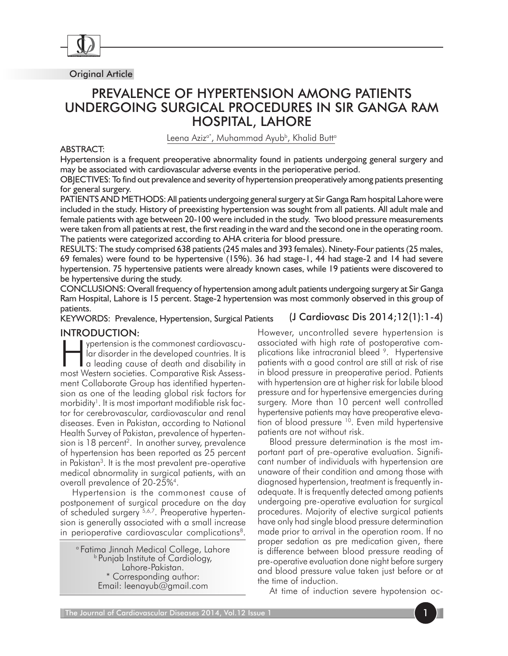

Original Article

# Prevalence of hypertension among patients undergoing surgical procedures in Sir Ganga Ram Hospital, Lahore

Leena Aziz<sup>a\*</sup>, Muhammad Ayub<sup>b</sup>, Khalid Butt<sup>a</sup>

### ABSTRACT:

Hypertension is a frequent preoperative abnormality found in patients undergoing general surgery and may be associated with cardiovascular adverse events in the perioperative period.

OBJECTIVES: To find out prevalence and severity of hypertension preoperatively among patients presenting for general surgery.

PATIENTS AND METHODS: All patients undergoing general surgery at Sir Ganga Ram hospital Lahore were included in the study. History of preexisting hypertension was sought from all patients. All adult male and female patients with age between 20-100 were included in the study. Two blood pressure measurements were taken from all patients at rest, the first reading in the ward and the second one in the operating room. The patients were categorized according to AHA criteria for blood pressure.

RESULTS: The study comprised 638 patients (245 males and 393 females). Ninety-Four patients (25 males, 69 females) were found to be hypertensive (15%). 36 had stage-1, 44 had stage-2 and 14 had severe hypertension. 75 hypertensive patients were already known cases, while 19 patients were discovered to be hypertensive during the study.

(J Cardiovasc Dis 2014;12(1):1-4) CONCLUSIONS: Overall frequency of hypertension among adult patients undergoing surgery at Sir Ganga Ram Hospital, Lahore is 15 percent. Stage-2 hypertension was most commonly observed in this group of patients.

KEYWORDS: Prevalence, Hypertension, Surgical Patients

## Introduction:

ypertension is the commonest cardiovascular disorder in the developed countries. It is a leading cause of death and disability in most Western societies. Comparative Risk Assessment Collaborate Group has identified hypertension as one of the leading global risk factors for morbidity<sup>1</sup>. It is most important modifiable risk factor for cerebrovascular, cardiovascular and renal diseases. Even in Pakistan, according to National Health Survey of Pakistan, prevalence of hypertension is  $18$  percent<sup>2</sup>. In another survey, prevalence of hypertension has been reported as 25 percent in Pakistan3. It is the most prevalent pre-operative medical abnormality in surgical patients, with an overall prevalence of 20-25%4.

Hypertension is the commonest cause of postponement of surgical procedure on the day of scheduled surgery <sup>5,6,7</sup>. Preoperative hypertension is generally associated with a small increase in perioperative cardiovascular complications<sup>8</sup>.

a Fatima Jinnah Medical College, Lahore **b Punjab Institute of Cardiology,** Lahore-Pakistan. \* Corresponding author: Email: leenayub@gmail.com

However, uncontrolled severe hypertension is associated with high rate of postoperative complications like intracranial bleed <sup>9</sup>. Hypertensive patients with a good control are still at risk of rise in blood pressure in preoperative period. Patients with hypertension are at higher risk for labile blood pressure and for hypertensive emergencies during surgery. More than 10 percent well controlled hypertensive patients may have preoperative elevation of blood pressure <sup>10</sup>. Even mild hypertensive patients are not without risk.

Blood pressure determination is the most important part of pre-operative evaluation. Significant number of individuals with hypertension are unaware of their condition and among those with diagnosed hypertension, treatment is frequently inadequate. It is frequently detected among patients undergoing pre-operative evaluation for surgical procedures. Majority of elective surgical patients have only had single blood pressure determination made prior to arrival in the operation room. If no proper sedation as pre medication given, there is difference between blood pressure reading of pre-operative evaluation done night before surgery and blood pressure value taken just before or at the time of induction.

At time of induction severe hypotension oc-

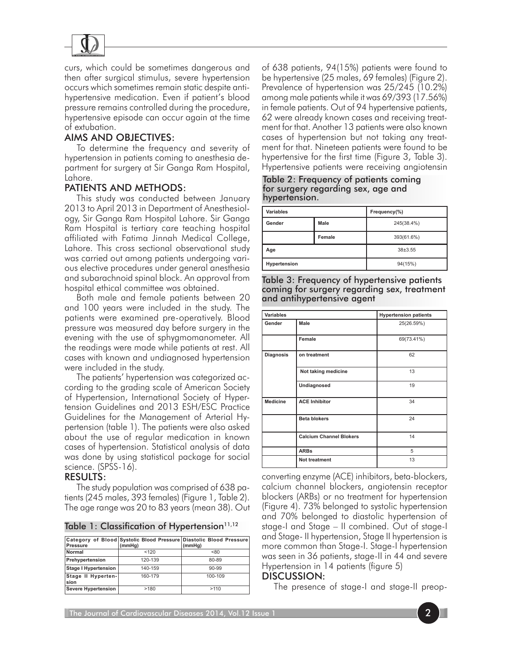

curs, which could be sometimes dangerous and then after surgical stimulus, severe hypertension occurs which sometimes remain static despite antihypertensive medication. Even if patient's blood pressure remains controlled during the procedure, hypertensive episode can occur again at the time of extubation.

# Aims and Objectives:

 To determine the frequency and severity of hypertension in patients coming to anesthesia department for surgery at Sir Ganga Ram Hospital, Lahore.

# Patients and Methods:

This study was conducted between January 2013 to April 2013 in Department of Anesthesiology, Sir Ganga Ram Hospital Lahore. Sir Ganga Ram Hospital is tertiary care teaching hospital affiliated with Fatima Jinnah Medical College, Lahore. This cross sectional observational study was carried out among patients undergoing various elective procedures under general anesthesia and subarachnoid spinal block. An approval from hospital ethical committee was obtained.

Both male and female patients between 20 and 100 years were included in the study. The patients were examined pre-operatively. Blood pressure was measured day before surgery in the evening with the use of sphygmomanometer. All the readings were made while patients at rest. All cases with known and undiagnosed hypertension were included in the study.

The patients' hypertension was categorized according to the grading scale of American Society of Hypertension, International Society of Hypertension Guidelines and 2013 ESH/ESC Practice Guidelines for the Management of Arterial Hypertension (table 1). The patients were also asked about the use of regular medication in known cases of hypertension. Statistical analysis of data was done by using statistical package for social science. (SPSS-16).

## Results:

The study population was comprised of 638 patients (245 males, 393 females) (Figure 1, Table 2). The age range was 20 to 83 years (mean 38). Out

|  |  |  |  | Table 1: Classification of Hypertension <sup>11,12</sup> |
|--|--|--|--|----------------------------------------------------------|
|--|--|--|--|----------------------------------------------------------|

|                             |         | Category of Blood Systolic Blood Pressure Diastolic Blood Pressure |
|-----------------------------|---------|--------------------------------------------------------------------|
| <b>Pressure</b>             | (mmHg)  | (mmHg)                                                             |
| <b>Normal</b>               | < 120   | <80                                                                |
| Prehypertension             | 120-139 | 80-89                                                              |
| <b>Stage I Hypertension</b> | 140-159 | $90 - 99$                                                          |
| Stage II Hyperten-<br>sion  | 160-179 | 100-109                                                            |
| <b>Severe Hypertension</b>  | >180    | >110                                                               |

of 638 patients, 94(15%) patients were found to be hypertensive (25 males, 69 females) (Figure 2). Prevalence of hypertension was 25/245 (10.2%) among male patients while it was 69/393 (17.56%) in female patients. Out of 94 hypertensive patients, 62 were already known cases and receiving treatment for that. Another 13 patients were also known cases of hypertension but not taking any treatment for that. Nineteen patients were found to be hypertensive for the first time (Figure 3, Table 3). Hypertensive patients were receiving angiotensin

Table 2: Frequency of patients coming for surgery regarding sex, age and hypertension.

| Variables    |        | Frequency(%) |
|--------------|--------|--------------|
| Gender       | Male   | 245(38.4%)   |
|              | Female | 393(61.6%)   |
| Age          |        | $38 + 3.55$  |
| Hypertension |        | 94(15%)      |

Table 3: Frequency of hypertensive patients coming for surgery regarding sex, treatment and antihypertensive agent

| Variables        |                                | <b>Hypertension patients</b> |
|------------------|--------------------------------|------------------------------|
| Gender           | Male                           | 25(26.59%)                   |
|                  | Female                         | 69(73.41%)                   |
| <b>Diagnosis</b> | on treatment                   | 62                           |
|                  | Not taking medicine            | 13                           |
|                  | Undiagnosed                    | 19                           |
| <b>Medicine</b>  | <b>ACE Inhibitor</b>           | 34                           |
|                  | <b>Beta blokers</b>            | 24                           |
|                  | <b>Calcium Channel Blokers</b> | 14                           |
|                  | <b>ARBs</b>                    | 5                            |
|                  | <b>Not treatment</b>           | 13                           |

converting enzyme (ACE) inhibitors, beta-blockers, calcium channel blockers, angiotensin receptor blockers (ARBs) or no treatment for hypertension (Figure 4). 73% belonged to systolic hypertension and 70% belonged to diastolic hypertension of stage-I and Stage – II combined. Out of stage-I and Stage- II hypertension, Stage II hypertension is more common than Stage-I. Stage-I hypertension was seen in 36 patients, stage-II in 44 and severe Hypertension in 14 patients (figure 5)

### Discussion:

The presence of stage-I and stage-II preop-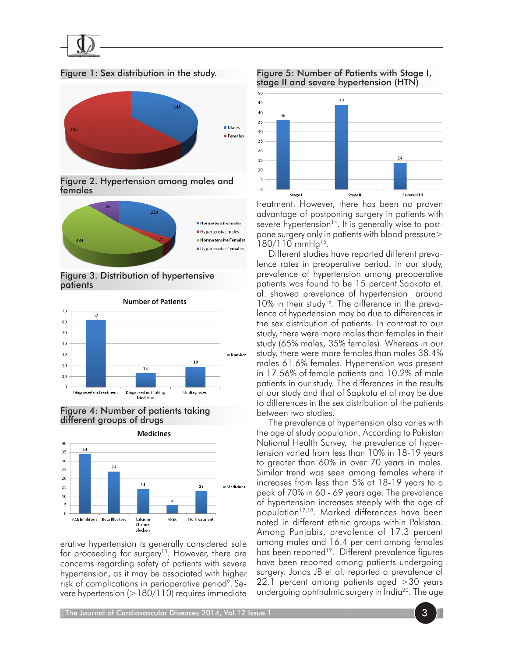

Figure 1: Sex distribution in the study.



Figure 2. Hypertension among males and females



Figure 3. Distribution of hypertensive patients







erative hypertension is generally considered safe for proceeding for surgery<sup>13</sup>. However, there are concerns regarding safety of patients with severe hypertension, as it may be associated with higher risk of complications in perioperative period<sup>9</sup>. Severe hypertension (>180/110) requires immediate





treatment. However, there has been no proven advantage of postponing surgery in patients with severe hypertension<sup>14</sup>. It is generally wise to postpone surgery only in patients with blood pressure> 180/110 mmHg15.

Different studies have reported different prevalence rates in preoperative period. In our study, prevalence of hypertension among preoperative patients was found to be 15 percent.Sapkota et. al. showed prevelance of hypertension around  $10\%$  in their study<sup>16</sup>. The difference in the prevalence of hypertension may be due to differences in the sex distribution of patients. In contrast to our study, there were more males than females in their study (65% males, 35% females). Whereas in our study, there were more females than males 38.4% males 61.6% females. Hypertension was present in 17.56% of female patients and 10.2% of male patients in our study. The differences in the results of our study and that of Sapkota et al may be due to differences in the sex distribution of the patients between two studies.

The prevalence of hypertension also varies with the age of study population. According to Pakistan National Health Survey, the prevalence of hypertension varied from less than 10% in 18-19 years to greater than 60% in over 70 years in males. Similar trend was seen among females where it increases from less than 5% at 18-19 years to a peak of 70% in 60 - 69 years age. The prevalence of hypertension increases steeply with the age of population<sup>17,18</sup>. Marked differences have been noted in different ethnic groups within Pakistan. Among Punjabis, prevalence of 17.3 percent among males and 16.4 per cent among females has been reported<sup>19</sup>. Different prevalence figures have been reported among patients undergoing surgery. Jonas JB et al. reported a prevalence of 22.1 percent among patients aged >30 years undergoing ophthalmic surgery in India<sup>20</sup>. The age